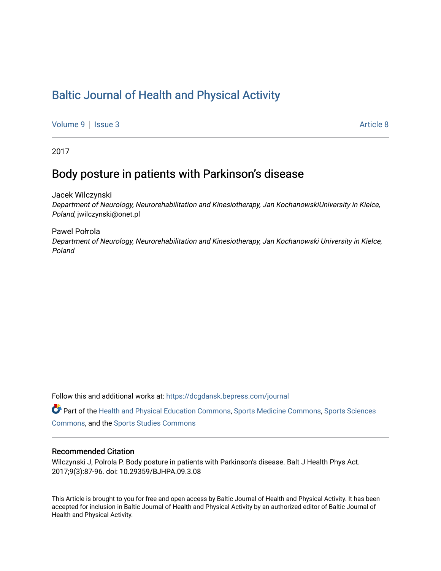# [Baltic Journal of Health and Physical Activity](https://dcgdansk.bepress.com/journal)

[Volume 9](https://dcgdansk.bepress.com/journal/vol9) | [Issue 3](https://dcgdansk.bepress.com/journal/vol9/iss3) Article 8

2017

## Body posture in patients with Parkinson's disease

Jacek Wilczynski Department of Neurology, Neurorehabilitation and Kinesiotherapy, Jan KochanowskiUniversity in Kielce, Poland, jwilczynski@onet.pl

Pawel Połrola Department of Neurology, Neurorehabilitation and Kinesiotherapy, Jan Kochanowski University in Kielce, Poland

Follow this and additional works at: [https://dcgdansk.bepress.com/journal](https://dcgdansk.bepress.com/journal?utm_source=dcgdansk.bepress.com%2Fjournal%2Fvol9%2Fiss3%2F8&utm_medium=PDF&utm_campaign=PDFCoverPages)

Part of the [Health and Physical Education Commons](http://network.bepress.com/hgg/discipline/1327?utm_source=dcgdansk.bepress.com%2Fjournal%2Fvol9%2Fiss3%2F8&utm_medium=PDF&utm_campaign=PDFCoverPages), [Sports Medicine Commons,](http://network.bepress.com/hgg/discipline/1331?utm_source=dcgdansk.bepress.com%2Fjournal%2Fvol9%2Fiss3%2F8&utm_medium=PDF&utm_campaign=PDFCoverPages) [Sports Sciences](http://network.bepress.com/hgg/discipline/759?utm_source=dcgdansk.bepress.com%2Fjournal%2Fvol9%2Fiss3%2F8&utm_medium=PDF&utm_campaign=PDFCoverPages) [Commons](http://network.bepress.com/hgg/discipline/759?utm_source=dcgdansk.bepress.com%2Fjournal%2Fvol9%2Fiss3%2F8&utm_medium=PDF&utm_campaign=PDFCoverPages), and the [Sports Studies Commons](http://network.bepress.com/hgg/discipline/1198?utm_source=dcgdansk.bepress.com%2Fjournal%2Fvol9%2Fiss3%2F8&utm_medium=PDF&utm_campaign=PDFCoverPages) 

#### Recommended Citation

Wilczynski J, Polrola P. Body posture in patients with Parkinson's disease. Balt J Health Phys Act. 2017;9(3):87-96. doi: 10.29359/BJHPA.09.3.08

This Article is brought to you for free and open access by Baltic Journal of Health and Physical Activity. It has been accepted for inclusion in Baltic Journal of Health and Physical Activity by an authorized editor of Baltic Journal of Health and Physical Activity.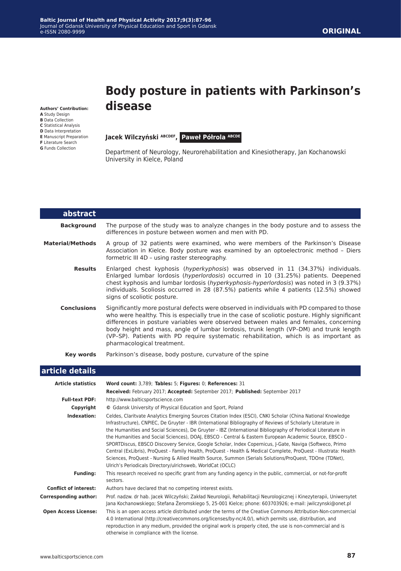**Authors' Contribution:**

- **A** Study Design
- **B** Data Collection
- **C** Statistical Analysis
- **D** Data Interpretation **E** Manuscript Preparation
- **F** Literature Search
- **G** Funds Collection

# **Body posture in patients with Parkinson's disease**

**Jacek Wilczyński ABCDEF, Paweł Półrola ABCDE** 

Department of Neurology, Neurorehabilitation and Kinesiotherapy, Jan Kochanowski University in Kielce, Poland

| abstract                |                                                                                                                                                                                                                                                                                                                                                                                                                                                                                                      |
|-------------------------|------------------------------------------------------------------------------------------------------------------------------------------------------------------------------------------------------------------------------------------------------------------------------------------------------------------------------------------------------------------------------------------------------------------------------------------------------------------------------------------------------|
| <b>Background</b>       | The purpose of the study was to analyze changes in the body posture and to assess the<br>differences in posture between women and men with PD.                                                                                                                                                                                                                                                                                                                                                       |
| <b>Material/Methods</b> | A group of 32 patients were examined, who were members of the Parkinson's Disease<br>Association in Kielce. Body posture was examined by an optoelectronic method - Diers<br>formetric III 4D - using raster stereography.                                                                                                                                                                                                                                                                           |
| <b>Results</b>          | Enlarged chest kyphosis (hyperkyphosis) was observed in 11 (34.37%) individuals.<br>Enlarged lumbar lordosis (hyperlordosis) occurred in 10 (31.25%) patients. Deepened<br>chest kyphosis and lumbar lordosis (hyperkyphosis-hyperlordosis) was noted in 3 (9.37%)<br>individuals. Scoliosis occurred in 28 (87.5%) patients while 4 patients (12.5%) showed<br>signs of scoliotic posture.                                                                                                          |
| <b>Conclusions</b>      | Significantly more postural defects were observed in individuals with PD compared to those<br>who were healthy. This is especially true in the case of scoliotic posture. Highly significant<br>differences in posture variables were observed between males and females, concerning<br>body height and mass, angle of lumbar lordosis, trunk length (VP-DM) and trunk length<br>(VP-SP). Patients with PD require systematic rehabilitation, which is as important as<br>pharmacological treatment. |
| Key words               | Parkinson's disease, body posture, curvature of the spine                                                                                                                                                                                                                                                                                                                                                                                                                                            |

| article details |  |
|-----------------|--|
|                 |  |

| <b>Article statistics</b>    | Word count: 3,789; Tables: 5; Figures: 0; References: 31                                                                                                                                                                                                                                                                                                                                                                                                                                                                                                                                                                                                                                                                                                                                                                                                       |
|------------------------------|----------------------------------------------------------------------------------------------------------------------------------------------------------------------------------------------------------------------------------------------------------------------------------------------------------------------------------------------------------------------------------------------------------------------------------------------------------------------------------------------------------------------------------------------------------------------------------------------------------------------------------------------------------------------------------------------------------------------------------------------------------------------------------------------------------------------------------------------------------------|
|                              | Received: February 2017; Accepted: September 2017; Published: September 2017                                                                                                                                                                                                                                                                                                                                                                                                                                                                                                                                                                                                                                                                                                                                                                                   |
| <b>Full-text PDF:</b>        | http://www.balticsportscience.com                                                                                                                                                                                                                                                                                                                                                                                                                                                                                                                                                                                                                                                                                                                                                                                                                              |
| Copyright                    | © Gdansk University of Physical Education and Sport, Poland                                                                                                                                                                                                                                                                                                                                                                                                                                                                                                                                                                                                                                                                                                                                                                                                    |
| Indexation:                  | Celdes, Claritvate Analytics Emerging Sources Citation Index (ESCI), CNKI Scholar (China National Knowledge<br>Infrastructure), CNPIEC, De Gruyter - IBR (International Bibliography of Reviews of Scholarly Literature in<br>the Humanities and Social Sciences), De Gruyter - IBZ (International Bibliography of Periodical Literature in<br>the Humanities and Social Sciences), DOAJ, EBSCO - Central & Eastern European Academic Source, EBSCO -<br>SPORTDiscus, EBSCO Discovery Service, Google Scholar, Index Copernicus, J-Gate, Naviga (Softweco, Primo<br>Central (ExLibris), ProQuest - Family Health, ProQuest - Health & Medical Complete, ProQuest - Illustrata: Health<br>Sciences, ProQuest - Nursing & Allied Health Source, Summon (Serials Solutions/ProQuest, TDOne (TDNet),<br>Ulrich's Periodicals Directory/ulrichsweb, WorldCat (OCLC) |
| <b>Funding:</b>              | This research received no specific grant from any funding agency in the public, commercial, or not-for-profit<br>sectors.                                                                                                                                                                                                                                                                                                                                                                                                                                                                                                                                                                                                                                                                                                                                      |
| <b>Conflict of interest:</b> | Authors have declared that no competing interest exists.                                                                                                                                                                                                                                                                                                                                                                                                                                                                                                                                                                                                                                                                                                                                                                                                       |
| <b>Corresponding author:</b> | Prof. nadzw. dr hab. Jacek Wilczyński; Zakład Neurologii, Rehabilitacji Neurologicznej i Kinezyterapii, Uniwersytet<br>Jana Kochanowskiego; Stefana Žeromskiego 5, 25-001 Kielce; phone: 603703926; e-mail: jwilczynski@onet.pl                                                                                                                                                                                                                                                                                                                                                                                                                                                                                                                                                                                                                                |
| <b>Open Access License:</b>  | This is an open access article distributed under the terms of the Creative Commons Attribution-Non-commercial<br>4.0 International (http://creativecommons.org/licenses/by-nc/4.0/), which permits use, distribution, and<br>reproduction in any medium, provided the original work is properly cited, the use is non-commercial and is<br>otherwise in compliance with the license.                                                                                                                                                                                                                                                                                                                                                                                                                                                                           |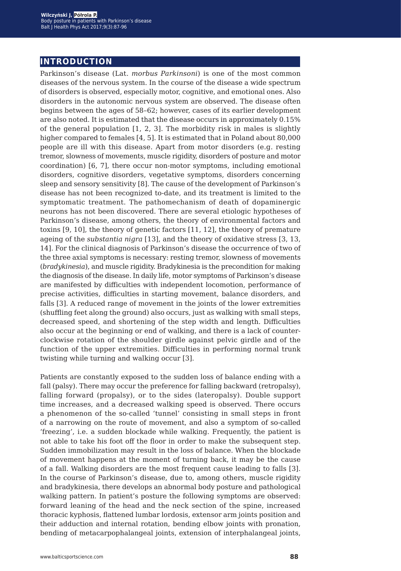## **introduction**

Parkinson's disease (Lat. *morbus Parkinsoni*) is one of the most common diseases of the nervous system. In the course of the disease a wide spectrum of disorders is observed, especially motor, cognitive, and emotional ones. Also disorders in the autonomic nervous system are observed. The disease often begins between the ages of 58–62; however, cases of its earlier development are also noted. It is estimated that the disease occurs in approximately 0.15% of the general population  $[1, 2, 3]$ . The morbidity risk in males is slightly higher compared to females [4, 5]. It is estimated that in Poland about 80,000 people are ill with this disease. Apart from motor disorders (e.g. resting tremor, slowness of movements, muscle rigidity, disorders of posture and motor coordination) [6, 7], there occur non-motor symptoms, including emotional disorders, cognitive disorders, vegetative symptoms, disorders concerning sleep and sensory sensitivity [8]. The cause of the development of Parkinson's disease has not been recognized to-date, and its treatment is limited to the symptomatic treatment. The pathomechanism of death of dopaminergic neurons has not been discovered. There are several etiologic hypotheses of Parkinson's disease, among others, the theory of environmental factors and toxins [9, 10], the theory of genetic factors [11, 12], the theory of premature ageing of the *substantia nigra* [13], and the theory of oxidative stress [3, 13, 14]. For the clinical diagnosis of Parkinson's disease the occurrence of two of the three axial symptoms is necessary: resting tremor, slowness of movements (*bradykinesia*), and muscle rigidity. Bradykinesia is the precondition for making the diagnosis of the disease. In daily life, motor symptoms of Parkinson's disease are manifested by difficulties with independent locomotion, performance of precise activities, difficulties in starting movement, balance disorders, and falls [3]. A reduced range of movement in the joints of the lower extremities (shuffling feet along the ground) also occurs, just as walking with small steps, decreased speed, and shortening of the step width and length. Difficulties also occur at the beginning or end of walking, and there is a lack of counterclockwise rotation of the shoulder girdle against pelvic girdle and of the function of the upper extremities. Difficulties in performing normal trunk twisting while turning and walking occur [3].

Patients are constantly exposed to the sudden loss of balance ending with a fall (palsy). There may occur the preference for falling backward (retropalsy), falling forward (propalsy), or to the sides (lateropalsy). Double support time increases, and a decreased walking speed is observed. There occurs a phenomenon of the so-called 'tunnel' consisting in small steps in front of a narrowing on the route of movement, and also a symptom of so-called 'freezing', i.e. a sudden blockade while walking. Frequently, the patient is not able to take his foot off the floor in order to make the subsequent step. Sudden immobilization may result in the loss of balance. When the blockade of movement happens at the moment of turning back, it may be the cause of a fall. Walking disorders are the most frequent cause leading to falls [3]. In the course of Parkinson's disease, due to, among others, muscle rigidity and bradykinesia, there develops an abnormal body posture and pathological walking pattern. In patient's posture the following symptoms are observed: forward leaning of the head and the neck section of the spine, increased thoracic kyphosis, flattened lumbar lordosis, extensor arm joints position and their adduction and internal rotation, bending elbow joints with pronation, bending of metacarpophalangeal joints, extension of interphalangeal joints,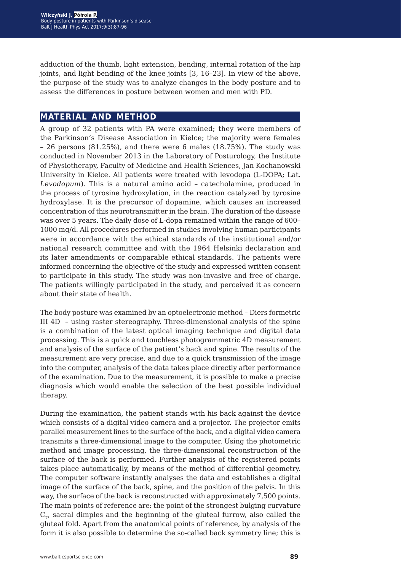adduction of the thumb, light extension, bending, internal rotation of the hip joints, and light bending of the knee joints [3, 16–23]. In view of the above, the purpose of the study was to analyze changes in the body posture and to assess the differences in posture between women and men with PD.

## **material and method**

A group of 32 patients with PA were examined; they were members of the Parkinson's Disease Association in Kielce; the majority were females – 26 persons (81.25%), and there were 6 males (18.75%). The study was conducted in November 2013 in the Laboratory of Posturology, the Institute of Physiotherapy, Faculty of Medicine and Health Sciences, Jan Kochanowski University in Kielce. All patients were treated with levodopa (L-DOPA; Lat. *Levodopum*). This is a natural amino acid – catecholamine, produced in the process of tyrosine hydroxylation, in the reaction catalyzed by tyrosine hydroxylase. It is the precursor of dopamine, which causes an increased concentration of this neurotransmitter in the brain. The duration of the disease was over 5 years. The daily dose of L-dopa remained within the range of 600– 1000 mg/d. All procedures performed in studies involving human participants were in accordance with the ethical standards of the institutional and/or national research committee and with the 1964 Helsinki declaration and its later amendments or comparable ethical standards. The patients were informed concerning the objective of the study and expressed written consent to participate in this study. The study was non-invasive and free of charge. The patients willingly participated in the study, and perceived it as concern about their state of health.

The body posture was examined by an optoelectronic method – Diers formetric III 4D – using raster stereography. Three-dimensional analysis of the spine is a combination of the latest optical imaging technique and digital data processing. This is a quick and touchless photogrammetric 4D measurement and analysis of the surface of the patient's back and spine. The results of the measurement are very precise, and due to a quick transmission of the image into the computer, analysis of the data takes place directly after performance of the examination. Due to the measurement, it is possible to make a precise diagnosis which would enable the selection of the best possible individual therapy.

During the examination, the patient stands with his back against the device which consists of a digital video camera and a projector. The projector emits parallel measurement lines to the surface of the back, and a digital video camera transmits a three-dimensional image to the computer. Using the photometric method and image processing, the three-dimensional reconstruction of the surface of the back is performed. Further analysis of the registered points takes place automatically, by means of the method of differential geometry. The computer software instantly analyses the data and establishes a digital image of the surface of the back, spine, and the position of the pelvis. In this way, the surface of the back is reconstructed with approximately 7,500 points. The main points of reference are: the point of the strongest bulging curvature  $C_{7}$ , sacral dimples and the beginning of the gluteal furrow, also called the gluteal fold. Apart from the anatomical points of reference, by analysis of the form it is also possible to determine the so-called back symmetry line; this is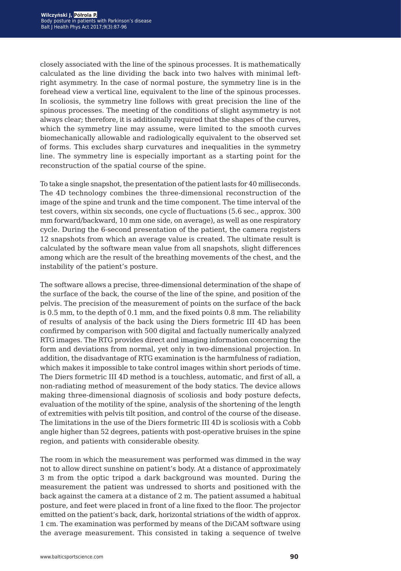closely associated with the line of the spinous processes. It is mathematically calculated as the line dividing the back into two halves with minimal leftright asymmetry. In the case of normal posture, the symmetry line is in the forehead view a vertical line, equivalent to the line of the spinous processes. In scoliosis, the symmetry line follows with great precision the line of the spinous processes. The meeting of the conditions of slight asymmetry is not always clear; therefore, it is additionally required that the shapes of the curves, which the symmetry line may assume, were limited to the smooth curves biomechanically allowable and radiologically equivalent to the observed set of forms. This excludes sharp curvatures and inequalities in the symmetry line. The symmetry line is especially important as a starting point for the reconstruction of the spatial course of the spine.

To take a single snapshot, the presentation of the patient lasts for 40 milliseconds. The 4D technology combines the three-dimensional reconstruction of the image of the spine and trunk and the time component. The time interval of the test covers, within six seconds, one cycle of fluctuations (5.6 sec., approx. 300 mm forward/backward, 10 mm one side, on average), as well as one respiratory cycle. During the 6-second presentation of the patient, the camera registers 12 snapshots from which an average value is created. The ultimate result is calculated by the software mean value from all snapshots, slight differences among which are the result of the breathing movements of the chest, and the instability of the patient's posture.

The software allows a precise, three-dimensional determination of the shape of the surface of the back, the course of the line of the spine, and position of the pelvis. The precision of the measurement of points on the surface of the back is 0.5 mm, to the depth of 0.1 mm, and the fixed points 0.8 mm. The reliability of results of analysis of the back using the Diers formetric III 4D has been confirmed by comparison with 500 digital and factually numerically analyzed RTG images. The RTG provides direct and imaging information concerning the form and deviations from normal, yet only in two-dimensional projection. In addition, the disadvantage of RTG examination is the harmfulness of radiation, which makes it impossible to take control images within short periods of time. The Diers formetric III 4D method is a touchless, automatic, and first of all, a non-radiating method of measurement of the body statics. The device allows making three-dimensional diagnosis of scoliosis and body posture defects, evaluation of the motility of the spine, analysis of the shortening of the length of extremities with pelvis tilt position, and control of the course of the disease. The limitations in the use of the Diers formetric III 4D is scoliosis with a Cobb angle higher than 52 degrees, patients with post-operative bruises in the spine region, and patients with considerable obesity.

The room in which the measurement was performed was dimmed in the way not to allow direct sunshine on patient's body. At a distance of approximately 3 m from the optic tripod a dark background was mounted. During the measurement the patient was undressed to shorts and positioned with the back against the camera at a distance of 2 m. The patient assumed a habitual posture, and feet were placed in front of a line fixed to the floor. The projector emitted on the patient's back, dark, horizontal striations of the width of approx. 1 cm. The examination was performed by means of the DiCAM software using the average measurement. This consisted in taking a sequence of twelve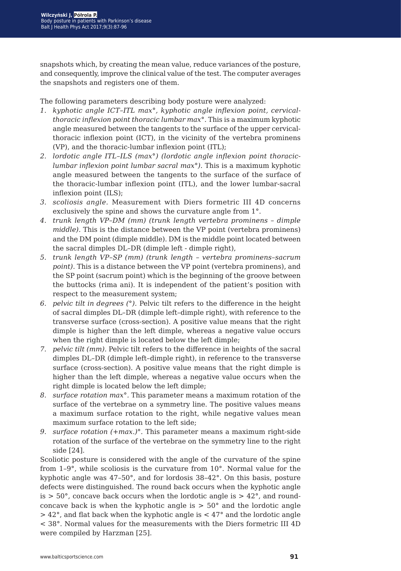snapshots which, by creating the mean value, reduce variances of the posture, and consequently, improve the clinical value of the test. The computer averages the snapshots and registers one of them.

The following parameters describing body posture were analyzed:

- *1. kyphotic angle ICT–ITL max°, kyphotic angle inflexion point, cervicalthoracic inflexion point thoracic lumbar max°.* This is a maximum kyphotic angle measured between the tangents to the surface of the upper cervicalthoracic inflexion point (ICT), in the vicinity of the vertebra prominens (VP), and the thoracic-lumbar inflexion point (ITL);
- *2. lordotic angle ITL–ILS (max°) (lordotic angle inflexion point thoraciclumbar inflexion point lumbar sacral max°).* This is a maximum kyphotic angle measured between the tangents to the surface of the surface of the thoracic-lumbar inflexion point (ITL), and the lower lumbar-sacral inflexion point (ILS);
- *3. scoliosis angle.* Measurement with Diers formetric III 4D concerns exclusively the spine and shows the curvature angle from 1°.
- *4. trunk length VP–DM (mm) (trunk length vertebra prominens dimple middle).* This is the distance between the VP point (vertebra prominens) and the DM point (dimple middle). DM is the middle point located between the sacral dimples DL–DR (dimple left - dimple right),
- *5. trunk length VP–SP (mm) (trunk length vertebra prominens–sacrum point*). This is a distance between the VP point (vertebra prominens), and the SP point (sacrum point) which is the beginning of the groove between the buttocks (rima ani). It is independent of the patient's position with respect to the measurement system;
- *6. pelvic tilt in degrees (°).* Pelvic tilt refers to the difference in the height of sacral dimples DL–DR (dimple left–dimple right), with reference to the transverse surface (cross-section). A positive value means that the right dimple is higher than the left dimple, whereas a negative value occurs when the right dimple is located below the left dimple;
- *7. pelvic tilt (mm).* Pelvic tilt refers to the difference in heights of the sacral dimples DL–DR (dimple left–dimple right), in reference to the transverse surface (cross-section). A positive value means that the right dimple is higher than the left dimple, whereas a negative value occurs when the right dimple is located below the left dimple;
- *8. surface rotation max°.* This parameter means a maximum rotation of the surface of the vertebrae on a symmetry line. The positive values means a maximum surface rotation to the right, while negative values mean maximum surface rotation to the left side;
- *9. surface rotation (+max.)°.* This parameter means a maximum right-side rotation of the surface of the vertebrae on the symmetry line to the right side [24].

Scoliotic posture is considered with the angle of the curvature of the spine from 1–9°, while scoliosis is the curvature from 10°. Normal value for the kyphotic angle was 47–50°, and for lordosis 38–42°. On this basis, posture defects were distinguished. The round back occurs when the kyphotic angle is  $> 50^{\circ}$ , concave back occurs when the lordotic angle is  $> 42^{\circ}$ , and roundconcave back is when the kyphotic angle is  $> 50^{\circ}$  and the lordotic angle > 42°, and flat back when the kyphotic angle is < 47° and the lordotic angle < 38°. Normal values for the measurements with the Diers formetric III 4D were compiled by Harzman [25].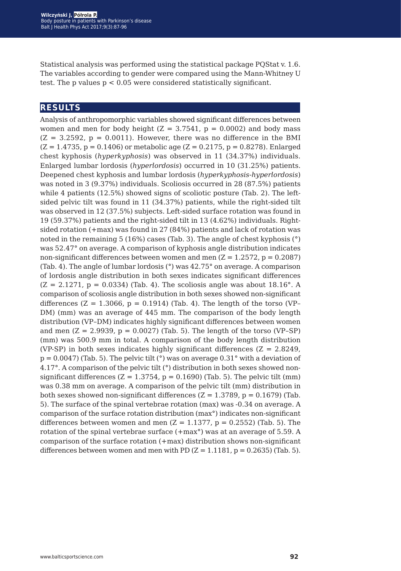Statistical analysis was performed using the statistical package PQStat v. 1.6. The variables according to gender were compared using the Mann-Whitney U test. The p values  $p < 0.05$  were considered statistically significant.

## **results**

Analysis of anthropomorphic variables showed significant differences between women and men for body height  $(Z = 3.7541, p = 0.0002)$  and body mass  $(Z = 3.2592, p = 0.0011)$ . However, there was no difference in the BMI  $(Z = 1.4735, p = 0.1406)$  or metabolic age  $(Z = 0.2175, p = 0.8278)$ . Enlarged chest kyphosis (*hyperkyphosis*) was observed in 11 (34.37%) individuals. Enlarged lumbar lordosis (*hyperlordosis*) occurred in 10 (31.25%) patients. Deepened chest kyphosis and lumbar lordosis (*hyperkyphosis-hyperlordosis*) was noted in 3 (9.37%) individuals. Scoliosis occurred in 28 (87.5%) patients while 4 patients (12.5%) showed signs of scoliotic posture (Tab. 2). The leftsided pelvic tilt was found in 11 (34.37%) patients, while the right-sided tilt was observed in 12 (37.5%) subjects. Left-sided surface rotation was found in 19 (59.37%) patients and the right-sided tilt in 13 (4.62%) individuals. Rightsided rotation (+max) was found in 27 (84%) patients and lack of rotation was noted in the remaining 5 (16%) cases (Tab. 3). The angle of chest kyphosis (°) was 52.47° on average. A comparison of kyphosis angle distribution indicates non-significant differences between women and men  $(Z = 1.2572, p = 0.2087)$ (Tab. 4). The angle of lumbar lordosis (°) was 42.75° on average. A comparison of lordosis angle distribution in both sexes indicates significant differences  $(Z = 2.1271, p = 0.0334)$  (Tab. 4). The scoliosis angle was about 18.16°. A comparison of scoliosis angle distribution in both sexes showed non-significant differences ( $Z = 1.3066$ ,  $p = 0.1914$ ) (Tab. 4). The length of the torso (VP-DM) (mm) was an average of 445 mm. The comparison of the body length distribution (VP–DM) indicates highly significant differences between women and men  $(Z = 2.9939, p = 0.0027)$  (Tab. 5). The length of the torso (VP–SP) (mm) was 500.9 mm in total. A comparison of the body length distribution (VP-SP) in both sexes indicates highly significant differences  $(Z = 2.8249)$ ,  $p = 0.0047$ ) (Tab. 5). The pelvic tilt ( $\degree$ ) was on average 0.31 $\degree$  with a deviation of 4.17°. A comparison of the pelvic tilt (°) distribution in both sexes showed nonsignificant differences  $(Z = 1.3754, p = 0.1690)$  (Tab. 5). The pelvic tilt (mm) was 0.38 mm on average. A comparison of the pelvic tilt (mm) distribution in both sexes showed non-significant differences  $(Z = 1.3789, p = 0.1679)$  (Tab. 5). The surface of the spinal vertebrae rotation (max) was -0.34 on average. A comparison of the surface rotation distribution (max°) indicates non-significant differences between women and men  $(Z = 1.1377, p = 0.2552)$  (Tab. 5). The rotation of the spinal vertebrae surface (+max°) was at an average of 5.59. A comparison of the surface rotation (+max) distribution shows non-significant differences between women and men with PD  $(Z = 1.1181, p = 0.2635)$  (Tab. 5).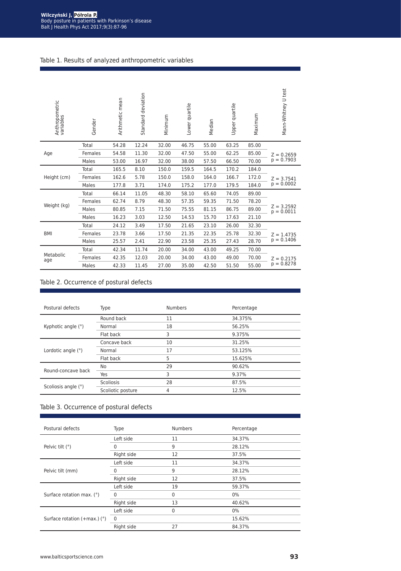#### Table 1. Results of analyzed anthropometric variables

| Anthropometric<br>variables | Gender  | Arithmetic mean | deviation<br>Standard | Minimum | Lower quartile | Median | Upper quartile | Maximum | Mann-Whitney U test          |
|-----------------------------|---------|-----------------|-----------------------|---------|----------------|--------|----------------|---------|------------------------------|
|                             | Total   | 54.28           | 12.24                 | 32.00   | 46.75          | 55.00  | 63.25          | 85.00   |                              |
| Age                         | Females | 54.58           | 11.30                 | 32.00   | 47.50          | 55.00  | 62.25          | 85.00   | $Z = 0.2659$                 |
|                             | Males   | 53.00           | 16.97                 | 32.00   | 38.00          | 57.50  | 66.50          | 70.00   | $p = 0.7903$                 |
|                             | Total   | 165.5           | 8.10                  | 150.0   | 159.5          | 164.5  | 170.2          | 184.0   |                              |
| Height (cm)                 | Females | 162.6           | 5.78                  | 150.0   | 158.0          | 164.0  | 166.7          | 172.0   | $Z = 3.7541$                 |
|                             | Males   | 177.8           | 3.71                  | 174.0   | 175.2          | 177.0  | 179.5          | 184.0   | $p = 0.0002$                 |
|                             | Total   | 66.14           | 11.05                 | 48.30   | 58.10          | 65.60  | 74.05          | 89.00   |                              |
|                             | Females | 62.74           | 8.79                  | 48.30   | 57.35          | 59.35  | 71.50          | 78.20   |                              |
| Weight (kg)                 | Males   | 80.85           | 7.15                  | 71.50   | 75.55          | 81.15  | 86.75          | 89.00   | $Z = 3.2592$<br>$p = 0.0011$ |
|                             | Males   | 16.23           | 3.03                  | 12.50   | 14.53          | 15.70  | 17.63          | 21.10   |                              |
|                             | Total   | 24.12           | 3.49                  | 17.50   | 21.65          | 23.10  | 26.00          | 32.30   |                              |
| <b>BMI</b>                  | Females | 23.78           | 3.66                  | 17.50   | 21.35          | 22.35  | 25.78          | 32.30   | $Z = 1.4735$                 |
|                             | Males   | 25.57           | 2.41                  | 22.90   | 23.58          | 25.35  | 27.43          | 28.70   | $p = 0.1406$                 |
|                             | Total   | 42.34           | 11.74                 | 20.00   | 34.00          | 43.00  | 49.25          | 70.00   |                              |
| Metabolic<br>age            | Females | 42.35           | 12.03                 | 20.00   | 34.00          | 43.00  | 49.00          | 70.00   | $Z = 0.2175$                 |
|                             | Males   | 42.33           | 11.45                 | 27.00   | 35.00          | 42.50  | 51.50          | 55.00   | $p = 0.8278$                 |

### Table 2. Occurrence of postural defects

| Postural defects    | Type              | <b>Numbers</b> | Percentage |
|---------------------|-------------------|----------------|------------|
|                     | Round back        | 11             | 34.375%    |
| Kyphotic angle (°)  | Normal            | 18             | 56.25%     |
|                     | Flat back         | 3              | 9.375%     |
|                     | Concave back      | 10             | 31.25%     |
| Lordotic angle (°)  | Normal            | 17             | 53.125%    |
|                     | Flat back         | 5              | 15.625%    |
| Round-concave back  | No                | 29             | 90.62%     |
|                     | Yes               | 3              | 9.37%      |
|                     | Scoliosis         | 28             | 87.5%      |
| Scoliosis angle (°) | Scoliotic posture | 4              | 12.5%      |

#### Table 3. Occurrence of postural defects

| Postural defects                          | Type        | <b>Numbers</b> | Percentage |
|-------------------------------------------|-------------|----------------|------------|
|                                           | Left side   | 11             | 34.37%     |
| Pelvic tilt $(°)$                         |             | 9              | 28.12%     |
|                                           | Right side  | 12             | 37.5%      |
|                                           | Left side   | 11             | 34.37%     |
| Pelvic tilt (mm)                          |             | 9              | 28.12%     |
|                                           | Right side  | 12             | 37.5%      |
|                                           | Left side   | 19             | 59.37%     |
| Surface rotation max. (°)                 |             | 0              | $0\%$      |
|                                           | Right side  | 13             | 40.62%     |
|                                           | Left side   | 0              | $0\%$      |
| Surface rotation $(+max.)$ ( $^{\circ}$ ) | $\mathbf 0$ |                | 15.62%     |
|                                           | Right side  | 27             | 84.37%     |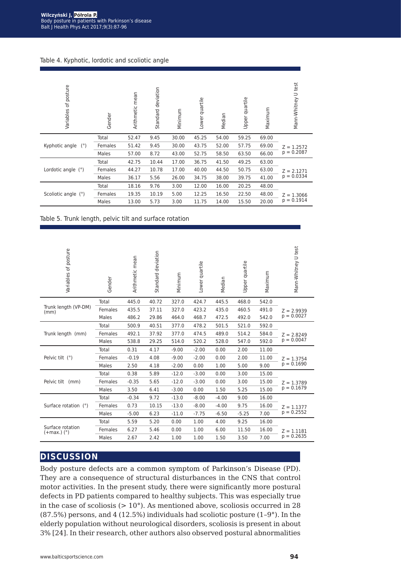Table 4. Kyphotic, lordotic and scoliotic angle

| posture<br>$\overline{5}$<br>Variables | Gender  | Arithmetic mean | deviation<br>Standard | Minimum | Lower quartile | Median | Upper quartile | Maximum | Mann-Whitney U test |
|----------------------------------------|---------|-----------------|-----------------------|---------|----------------|--------|----------------|---------|---------------------|
|                                        | Total   | 52.47           | 9.45                  | 30.00   | 45.25          | 54.00  | 59.25          | 69.00   |                     |
| Kyphotic angle<br>(°)                  | Females | 51.42           | 9.45                  | 30.00   | 43.75          | 52.00  | 57.75          | 69.00   | $Z = 1.2572$        |
|                                        | Males   | 57.00           | 8.72                  | 43.00   | 52.75          | 58.50  | 63.50          | 66.00   | $p = 0.2087$        |
|                                        | Total   | 42.75           | 10.44                 | 17.00   | 36.75          | 41.50  | 49.25          | 63.00   |                     |
| Lordotic angle (°)                     | Females | 44.27           | 10.78                 | 17.00   | 40.00          | 44.50  | 50.75          | 63.00   | $Z = 2.1271$        |
|                                        | Males   | 36.17           | 5.56                  | 26.00   | 34.75          | 38.00  | 39.75          | 41.00   | $p = 0.0334$        |
| Scoliotic angle (°)                    | Total   | 18.16           | 9.76                  | 3.00    | 12.00          | 16.00  | 20.25          | 48.00   |                     |
|                                        | Females | 19.35           | 10.19                 | 5.00    | 12.25          | 16.50  | 22.50          | 48.00   | $Z = 1.3066$        |
|                                        | Males   | 13.00           | 5.73                  | 3.00    | 11.75          | 14.00  | 15.50          | 20.00   | $p = 0.1914$        |

Table 5. Trunk length, pelvic tilt and surface rotation

| Variables of posture                         | Gender  | Arithmetic mean | Standard deviation | Minimum | Lower quartile | Median  | Upper quartile | Maximum | Mann-Whitney U test |
|----------------------------------------------|---------|-----------------|--------------------|---------|----------------|---------|----------------|---------|---------------------|
|                                              | Total   | 445.0           | 40.72              | 327.0   | 424.7          | 445.5   | 468.0          | 542.0   |                     |
| Trunk length (VP-DM)<br>(mm)                 | Females | 435.5           | 37.11              | 327.0   | 423.2          | 435.0   | 460.5          | 491.0   | $Z = 2.9939$        |
|                                              | Males   | 486.2           | 29.86              | 464.0   | 468.7          | 472.5   | 492.0          | 542.0   | $p = 0.0027$        |
|                                              | Total   | 500.9           | 40.51              | 377.0   | 478.2          | 501.5   | 521.0          | 592.0   |                     |
| Trunk length (mm)                            | Females | 492.1           | 37.92              | 377.0   | 474.5          | 489.0   | 514.2          | 584.0   | $Z = 2.8249$        |
|                                              | Males   | 538.8           | 29.25              | 514.0   | 520.2          | 528.0   | 547.0          | 592.0   | $p = 0.0047$        |
|                                              | Total   | 0.31            | 4.17               | $-9.00$ | $-2.00$        | 0.00    | 2.00           | 11.00   |                     |
| Pelvic tilt (°)                              | Females | $-0.19$         | 4.08               | $-9.00$ | $-2.00$        | 0.00    | 2.00           | 11.00   | $Z = 1.3754$        |
|                                              | Males   | 2.50            | 4.18               | $-2.00$ | 0.00           | 1.00    | 5.00           | 9.00    | $p = 0.1690$        |
|                                              | Total   | 0.38            | 5.89               | $-12.0$ | $-3.00$        | 0.00    | 3.00           | 15.00   |                     |
| Pelvic tilt (mm)                             | Females | $-0.35$         | 5.65               | $-12.0$ | $-3.00$        | 0.00    | 3.00           | 15.00   | $Z = 1.3789$        |
|                                              | Males   | 3.50            | 6.41               | $-3.00$ | 0.00           | 1.50    | 5.25           | 15.00   | $p = 0.1679$        |
|                                              | Total   | $-0.34$         | 9.72               | $-13.0$ | $-8.00$        | $-4.00$ | 9.00           | 16.00   |                     |
| Surface rotation (°)                         | Females | 0.73            | 10.15              | $-13.0$ | $-8.00$        | $-4.00$ | 9.75           | 16.00   | $Z = 1.1377$        |
|                                              | Males   | $-5.00$         | 6.23               | $-11.0$ | $-7.75$        | $-6.50$ | $-5.25$        | 7.00    | $p = 0.2552$        |
|                                              | Total   | 5.59            | 5.20               | 0.00    | 1.00           | 4.00    | 9.25           | 16.00   |                     |
| Surface rotation<br>$(+max.)$ ( $^{\circ}$ ) | Females | 6.27            | 5.46               | 0.00    | 1.00           | 6.00    | 11.50          | 16.00   | $Z = 1.1181$        |
|                                              | Males   | 2.67            | 2.42               | 1.00    | 1.00           | 1.50    | 3.50           | 7.00    | $p = 0.2635$        |

## **discussion**

Body posture defects are a common symptom of Parkinson's Disease (PD). They are a consequence of structural disturbances in the CNS that control motor activities. In the present study, there were significantly more postural defects in PD patients compared to healthy subjects. This was especially true in the case of scoliosis  $(>10^{\circ})$ . As mentioned above, scoliosis occurred in 28 (87.5%) persons, and 4 (12.5%) individuals had scoliotic posture (1–9°). In the elderly population without neurological disorders, scoliosis is present in about 3% [24]. In their research, other authors also observed postural abnormalities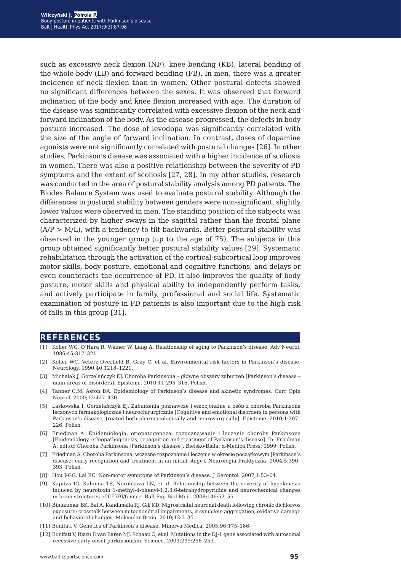such as excessive neck flexion (NF), knee bending (KB), lateral bending of the whole body (LB) and forward bending (FB). In men, there was a greater incidence of neck flexion than in women. Other postural defects showed no significant differences between the sexes. It was observed that forward inclination of the body and knee flexion increased with age. The duration of the disease was significantly correlated with excessive flexion of the neck and forward inclination of the body. As the disease progressed, the defects in body posture increased. The dose of levodopa was significantly correlated with the size of the angle of forward inclination. In contrast, doses of dopamine agonists were not significantly correlated with postural changes [26]. In other studies, Parkinson's disease was associated with a higher incidence of scoliosis in women. There was also a positive relationship between the severity of PD symptoms and the extent of scoliosis [27, 28]. In my other studies, research was conducted in the area of postural stability analysis among PD patients. The Biodex Balance System was used to evaluate postural stability. Although the differences in postural stability between genders were non-significant, slightly lower values were observed in men. The standing position of the subjects was characterized by higher sways in the sagittal rather than the frontal plane  $(A/P > M/L)$ , with a tendency to tilt backwards. Better postural stability was observed in the younger group (up to the age of 75). The subjects in this group obtained significantly better postural stability values [29]. Systematic rehabilitation through the activation of the cortical-subcortical loop improves motor skills, body posture, emotional and cognitive functions, and delays or even counteracts the occurrence of PD. It also improves the quality of body posture, motor skills and physical ability to independently perform tasks, and actively participate in family, professional and social life. Systematic examination of posture in PD patients is also important due to the high risk of falls in this group [31].

#### **references**

- [1] Koller WC, O'Hara R, Weiner W, Lang A. Relationship of aging to Parkinson's disease. Adv Neurol. 1986;45:317–321.
- [2] Koller WC, Vetere-Overfield B, Gray C, et al. Environmental risk factors in Parkinson's disease. Neurology. 1990;40:1218–1221.
- [3] Michalak J, Gorzelańczyk EJ. Choroba Parkinsona główne obszary zaburzeń [Parkinson's disease main areas of disorders]. Episteme. 2010;11:295–316. Polish.
- [4] Tanner C.M, Aston DA. Epidemiology of Parkinson's disease and akinetic syndromes. Curr Opin Neurol. 2000;12:427–430.
- [5] Laskowska I, Gorzelańczyk EJ. Zaburzenia poznawcze i emocjonalne u osób z chorobą Parkinsona leczonych farmakologicznie i neurochirurgicznie [Cognitive and emotional disorders in persons with Parkinson's disease, treated both pharmacologically and neurosurgically]. Episteme. 2010;1:207– 226. Polish.
- [6] Friedman A. Epidemiologia, etiopatogeneza, rozpoznawanie i leczenie choroby Parkinsona [Epidemiology, ethiopathogenesis, recognition and treatment of Parkinson's disease]. In: Friedman A, editor. Choroba Parkinsona [Parkinson's disease]. Bielsko-Biała: α-Medica Press; 1999. Polish.
- [7] Friedman A. Choroba Parkinsona: wczesne rozpoznanie i leczenie w okresie początkowym [Parkinson's disease: early recognition and treatment in an initial stage]. Neurologia Praktyczna. 2004;5:390– 393. Polish.
- [8] Hou J-GG, Lai EC. Non-motor symptoms of Parkinson's disease. J Gerontol. 2007;1:53–64.
- [9] Kapitza IG, Kalinina TS, Nerobkova LN, et al. Relationship between the severity of hypokinesia induced by neurotoxin 1-methyl-4-phenyl-1,2,3,6-tetrahydropyridine and neurochemical changes in brain structures of C57Bl/6 mice. Bull Exp Biol Med. 2008;146:52–55.
- [10] Binukumar BK, Bal A, Kandimalla RJ, Gill KD. Nigrostriatal neuronal death following chronic dichlorvos exposure: crosstalk between mitochondrial impairments, α synuclein aggregation, oxidative damage and behavioral changes. Molecular Brain. 2010;13:3–35.
- [11] Bonifati V. Genetics of Parkinson's disease. Minerva Medica. 2005;96:175–186.
- [12] Bonifati V, Rizzu P, van Baren MJ, Schaap O, et al. Mutations in the DJ-1 gene associated with autosomal recessive early-onset parkinsonism. Science. 2003;299:256–259.